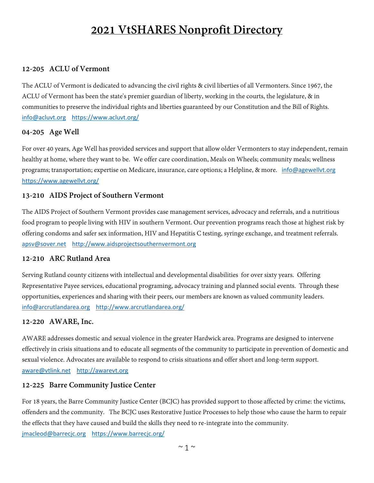# **2021 VtSHARES Nonprofit Directory**

## **12-205 ACLU of Vermont**

The ACLU of Vermont is dedicated to advancing the civil rights & civil liberties of all Vermonters. Since 1967, the ACLU of Vermont has been the state's premier guardian of liberty, working in the courts, the legislature, & in communities to preserve the individual rights and liberties guaranteed by our Constitution and the Bill of Rights. [info@acluvt.org](mailto:info@acluvt.org) <https://www.acluvt.org/>

## **04-205 Age Well**

For over 40 years, Age Well has provided services and support that allow older Vermonters to stay independent, remain healthy at home, where they want to be. We offer care coordination, Meals on Wheels; community meals; wellness programs; transportation; expertise on Medicare, insurance, care options; a Helpline, & more. [info@agewellvt.org](mailto:info@agewellvt.org) <https://www.agewellvt.org/>

#### **13-210 AIDS Project of Southern Vermont**

The AIDS Project of Southern Vermont provides case management services, advocacy and referrals, and a nutritious food program to people living with HIV in southern Vermont. Our prevention programs reach those at highest risk by offering condoms and safer sex information, HIV and Hepatitis C testing, syringe exchange, and treatment referrals. [apsv@sover.net](mailto:apsv@sover.net) [http://www.aidsprojectsouthernvermont.org](http://www.aidsprojectsouthernvermont.org/)

#### **12-210 ARC Rutland Area**

Serving Rutland county citizens with intellectual and developmental disabilities for over sixty years. Offering Representative Payee services, educational programing, advocacy training and planned social events. Through these opportunities, experiences and sharing with their peers, our members are known as valued community leaders. [info@arcrutlandarea.org](mailto:info@arcrutlandarea.org) <http://www.arcrutlandarea.org/>

## **12-220 AWARE, Inc.**

AWARE addresses domestic and sexual violence in the greater Hardwick area. Programs are designed to intervene effectively in crisis situations and to educate all segments of the community to participate in prevention of domestic and sexual violence. Advocates are available to respond to crisis situations and offer short and long-term support. [aware@vtlink.net](mailto:aware@vtlink.net) [http://awarevt.org](http://awarevt.org/)

#### **12-225 Barre Community Justice Center**

For 18 years, the Barre Community Justice Center (BCJC) has provided support to those affected by crime: the victims, offenders and the community. The BCJC uses Restorative Justice Processes to help those who cause the harm to repair the effects that they have caused and build the skills they need to re-integrate into the community. [jmacleod@barrecjc.org](mailto:jmacleod@barrecjc.org) <https://www.barrecjc.org/>

 $\sim$  1  $\sim$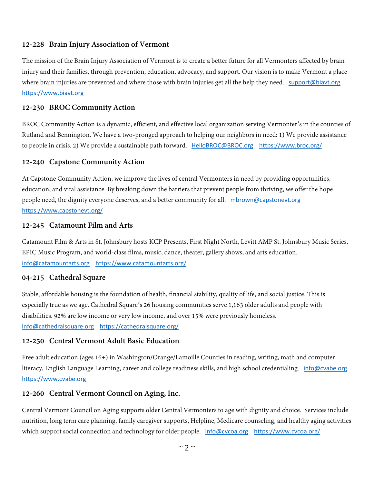#### **12-228 Brain Injury Association of Vermont**

The mission of the Brain Injury Association of Vermont is to create a better future for all Vermonters affected by brain injury and their families, through prevention, education, advocacy, and support. Our vision is to make Vermont a place where brain injuries are prevented and where those with brain injuries get all the help they need. [support@biavt.org](mailto:support@biavt.org) [https://www.biavt.org](https://www.biavt.org/)

#### **12-230 BROC Community Action**

BROC Community Action is a dynamic, efficient, and effective local organization serving Vermonter's in the counties of Rutland and Bennington. We have a two-pronged approach to helping our neighbors in need: 1) We provide assistance to people in crisis. 2) We provide a sustainable path forward. [HelloBROC@BROC.org](mailto:HelloBROC@BROC.org) <https://www.broc.org/>

#### **12-240 Capstone Community Action**

At Capstone Community Action, we improve the lives of central Vermonters in need by providing opportunities, education, and vital assistance. By breaking down the barriers that prevent people from thriving, we offer the hope people need, the dignity everyone deserves, and a better community for all. [mbrown@capstonevt.org](mailto:mbrown@capstonevt.org) <https://www.capstonevt.org/>

#### **12-245 Catamount Film and Arts**

Catamount Film & Arts in St. Johnsbury hosts KCP Presents, First Night North, Levitt AMP St. Johnsbury Music Series, EPIC Music Program, and world-class films, music, dance, theater, gallery shows, and arts education. [info@catamountarts.org](mailto:info@catamountarts.org) <https://www.catamountarts.org/>

#### **04-215 Cathedral Square**

Stable, affordable housing is the foundation of health, financial stability, quality of life, and social justice. This is especially true as we age. Cathedral Square's 26 housing communities serve 1,163 older adults and people with disabilities. 92% are low income or very low income, and over 15% were previously homeless. [info@cathedralsquare.org](mailto:info@cathedralsquare.org) <https://cathedralsquare.org/>

#### **12-250 Central Vermont Adult Basic Education**

Free adult education (ages 16+) in Washington/Orange/Lamoille Counties in reading, writing, math and computer literacy, English Language Learning, career and college readiness skills, and high school credentialing. [info@cvabe.org](mailto:info@cvabe.org) [https://www.cvabe.org](https://www.cvabe.org/)

#### **12-260 Central Vermont Council on Aging, Inc.**

Central Vermont Council on Aging supports older Central Vermonters to age with dignity and choice. Services include nutrition, long term care planning, family caregiver supports, Helpline, Medicare counseling, and healthy aging activities which support social connection and technology for older people. [info@cvcoa.org](mailto:info@cvcoa.org) <https://www.cvcoa.org/>

 $\sim$  2  $\sim$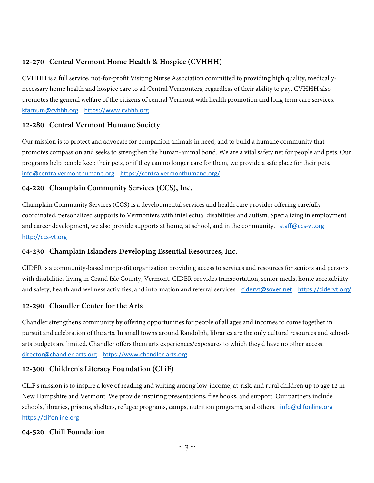# **12-270 Central Vermont Home Health & Hospice (CVHHH)**

CVHHH is a full service, not-for-profit Visiting Nurse Association committed to providing high quality, medicallynecessary home health and hospice care to all Central Vermonters, regardless of their ability to pay. CVHHH also promotes the general welfare of the citizens of central Vermont with health promotion and long term care services. [kfarnum@cvhhh.org](mailto:kfarnum@cvhhh.org) [https://www.cvhhh.org](https://www.cvhhh.org/)

# **12-280 Central Vermont Humane Society**

Our mission is to protect and advocate for companion animals in need, and to build a humane community that promotes compassion and seeks to strengthen the human-animal bond. We are a vital safety net for people and pets. Our programs help people keep their pets, or if they can no longer care for them, we provide a safe place for their pets. [info@centralvermonthumane.org](mailto:info@centralvermonthumane.org) <https://centralvermonthumane.org/>

## **04-220 Champlain Community Services (CCS), Inc.**

Champlain Community Services (CCS) is a developmental services and health care provider offering carefully coordinated, personalized supports to Vermonters with intellectual disabilities and autism. Specializing in employment and career development, we also provide supports at home, at school, and in the community. [staff@ccs-vt.org](mailto:staff@ccs-vt.org) [http://ccs-vt.org](http://ccs-vt.org/)

# **04-230 Champlain Islanders Developing Essential Resources, Inc.**

CIDER is a community-based nonprofit organization providing access to services and resources for seniors and persons with disabilities living in Grand Isle County, Vermont. CIDER provides transportation, senior meals, home accessibility and safety, health and wellness activities, and information and referral services. [cidervt@sover.net](mailto:cidervt@sover.net) <https://cidervt.org/>

# **12-290 Chandler Center for the Arts**

Chandler strengthens community by offering opportunities for people of all ages and incomes to come together in pursuit and celebration of the arts. In small towns around Randolph, libraries are the only cultural resources and schools' arts budgets are limited. Chandler offers them arts experiences/exposures to which they'd have no other access. [director@chandler-arts.org](mailto:director@chandler-arts.org) [https://www.chandler-arts.org](https://www.chandler-arts.org/)

# **12-300 Children's Literacy Foundation (CLiF)**

CLiF's mission is to inspire a love of reading and writing among low-income, at-risk, and rural children up to age 12 in New Hampshire and Vermont. We provide inspiring presentations, free books, and support. Our partners include schools, libraries, prisons, shelters, refugee programs, camps, nutrition programs, and others. [info@clifonline.org](mailto:info@clifonline.org) [https://clifonline.org](https://clifonline.org/)

## **04-520 Chill Foundation**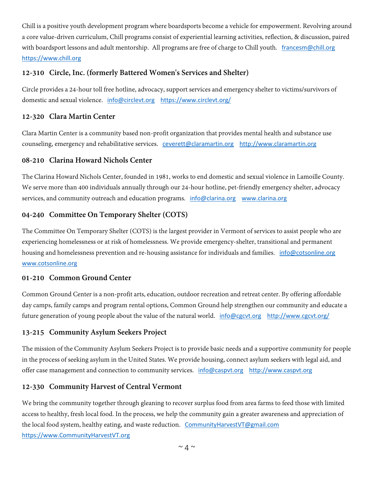Chill is a positive youth development program where boardsports become a vehicle for empowerment. Revolving around a core value-driven curriculum, Chill programs consist of experiential learning activities, reflection, & discussion, paired with boardsport lessons and adult mentorship. All programs are free of charge to Chill youth. [francesm@chill.org](mailto:francesm@chill.org) [https://www.chill.org](https://www.chill.org/)

## **12-310 Circle, Inc. (formerly Battered Women's Services and Shelter)**

Circle provides a 24-hour toll free hotline, advocacy, support services and emergency shelter to victims/survivors of domestic and sexual violence. [info@circlevt.org](mailto:info@circlevt.org) <https://www.circlevt.org/>

#### **12-320 Clara Martin Center**

Clara Martin Center is a community based non-profit organization that provides mental health and substance use counseling, emergency and rehabilitative services. [ceverett@claramartin.org](mailto:ceverett@claramartin.org) [http://www.claramartin.org](http://www.claramartin.org/)

## **08-210 Clarina Howard Nichols Center**

The Clarina Howard Nichols Center, founded in 1981, works to end domestic and sexual violence in Lamoille County. We serve more than 400 individuals annually through our 24-hour hotline, pet-friendly emergency shelter, advocacy services, and community outreach and education programs. [info@clarina.org](mailto:info@clarina.org) [www.clarina.org](http://www.clarina.org/)

## **04-240 Committee On Temporary Shelter (COTS)**

The Committee On Temporary Shelter (COTS) is the largest provider in Vermont of services to assist people who are experiencing homelessness or at risk of homelessness. We provide emergency-shelter, transitional and permanent housing and homelessness prevention and re-housing assistance for individuals and families. [info@cotsonline.org](mailto:info@cotsonline.org) [www.cotsonline.org](http://www.cotsonline.org/)

## **01-210 Common Ground Center**

Common Ground Center is a non-profit arts, education, outdoor recreation and retreat center. By offering affordable day camps, family camps and program rental options, Common Ground help strengthen our community and educate a future generation of young people about the value of the natural world. [info@cgcvt.org](mailto:info@cgcvt.org) <http://www.cgcvt.org/>

## **13-215 Community Asylum Seekers Project**

The mission of the Community Asylum Seekers Project is to provide basic needs and a supportive community for people in the process of seeking asylum in the United States. We provide housing, connect asylum seekers with legal aid, and offer case management and connection to community services. [info@caspvt.org](mailto:info@caspvt.org) [http://www.caspvt.org](http://www.caspvt.org/)

## **12-330 Community Harvest of Central Vermont**

We bring the community together through gleaning to recover surplus food from area farms to feed those with limited access to healthy, fresh local food. In the process, we help the community gain a greater awareness and appreciation of the local food system, healthy eating, and waste reduction. [CommunityHarvestVT@gmail.com](mailto:CommunityHarvestVT@gmail.com) [https://www.CommunityHarvestVT.org](https://www.communityharvestvt.org/)

 $\sim$   $\Delta \sim$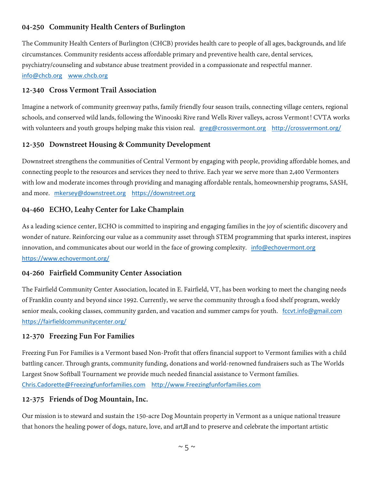# **04-250 Community Health Centers of Burlington**

The Community Health Centers of Burlington (CHCB) provides health care to people of all ages, backgrounds, and life circumstances. Community residents access affordable primary and preventive health care, dental services, psychiatry/counseling and substance abuse treatment provided in a compassionate and respectful manner. [info@chcb.org](mailto:info@chcb.org) [www.chcb.org](http://www.chcb.org/)

#### **12-340 Cross Vermont Trail Association**

Imagine a network of community greenway paths, family friendly four season trails, connecting village centers, regional schools, and conserved wild lands, following the Winooski Rive rand Wells River valleys, across Vermont! CVTA works with volunteers and youth groups helping make this vision real. [greg@crossvermont.org](mailto:greg@crossvermont.org) <http://crossvermont.org/>

## **12-350 Downstreet Housing & Community Development**

Downstreet strengthens the communities of Central Vermont by engaging with people, providing affordable homes, and connecting people to the resources and services they need to thrive. Each year we serve more than 2,400 Vermonters with low and moderate incomes through providing and managing affordable rentals, homeownership programs, SASH, and more. [mkersey@downstreet.org](mailto:mkersey@downstreet.org) [https://downstreet.org](https://downstreet.org/)

#### **04-460 ECHO, Leahy Center for Lake Champlain**

As a leading science center, ECHO is committed to inspiring and engaging families in the joy of scientific discovery and wonder of nature. Reinforcing our value as a community asset through STEM programming that sparks interest, inspires innovation, and communicates about our world in the face of growing complexity. [info@echovermont.org](mailto:info@echovermont.org) <https://www.echovermont.org/>

#### **04-260 Fairfield Community Center Association**

The Fairfield Community Center Association, located in E. Fairfield, VT, has been working to meet the changing needs of Franklin county and beyond since 1992. Currently, we serve the community through a food shelf program, weekly senior meals, cooking classes, community garden, and vacation and summer camps for youth. [fccvt.info@gmail.com](mailto:fccvt.info@gmail.com) <https://fairfieldcommunitycenter.org/>

#### **12-370 Freezing Fun For Families**

Freezing Fun For Families is a Vermont based Non-Profit that offers financial support to Vermont families with a child battling cancer. Through grants, community funding, donations and world-renowned fundraisers such as The Worlds Largest Snow Softball Tournament we provide much needed financial assistance to Vermont families. [Chris.Cadorette@Freezingfunforfamilies.com](mailto:Chris.Cadorette@Freezingfunforfamilies.com) [http://www.Freezingfunforfamilies.com](http://www.freezingfunforfamilies.com/)

## **12-375 Friends of Dog Mountain, Inc.**

Our mission is to steward and sustain the 150-acre Dog Mountain property in Vermont as a unique national treasure that honors the healing power of dogs, nature, love, and art, and to preserve and celebrate the important artistic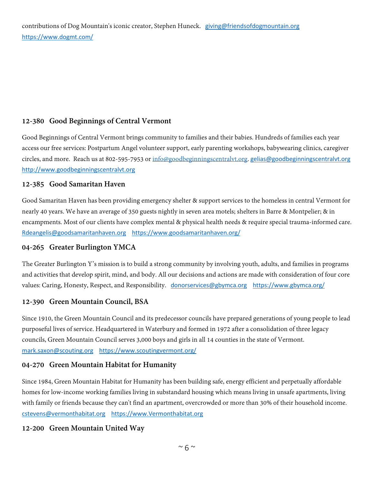## **12-380 Good Beginnings of Central Vermont**

Good Beginnings of Central Vermont brings community to families and their babies. Hundreds of families each year access our free services: Postpartum Angel volunteer support, early parenting workshops, babywearing clinics, caregiver circles, and more. Reach us at 802-595-7953 or [info@goodbeginningscentralvt.org.](mailto:info@goodbeginningscentralvt.org) [gelias@goodbeginningscentralvt.org](mailto:gelias@goodbeginningscentralvt.org) [http://www.goodbeginningscentralvt.org](http://www.goodbeginningscentralvt.org/)

#### **12-385 Good Samaritan Haven**

Good Samaritan Haven has been providing emergency shelter & support services to the homeless in central Vermont for nearly 40 years. We have an average of 350 guests nightly in seven area motels; shelters in Barre & Montpelier; & in encampments. Most of our clients have complex mental & physical health needs & require special trauma-informed care. [Rdeangelis@goodsamaritanhaven.org](mailto:Rdeangelis@goodsamaritanhaven.org) <https://www.goodsamaritanhaven.org/>

## **04-265 Greater Burlington YMCA**

The Greater Burlington Y's mission is to build a strong community by involving youth, adults, and families in programs and activities that develop spirit, mind, and body. All our decisions and actions are made with consideration of four core values: Caring, Honesty, Respect, and Responsibility. [donorservices@gbymca.org](mailto:donorservices@gbymca.org) <https://www.gbymca.org/>

## **12-390 Green Mountain Council, BSA**

Since 1910, the Green Mountain Council and its predecessor councils have prepared generations of young people to lead purposeful lives of service. Headquartered in Waterbury and formed in 1972 after a consolidation of three legacy councils, Green Mountain Council serves 3,000 boys and girls in all 14 counties in the state of Vermont. [mark.saxon@scouting.org](mailto:mark.saxon@scouting.org) <https://www.scoutingvermont.org/>

#### **04-270 Green Mountain Habitat for Humanity**

Since 1984, Green Mountain Habitat for Humanity has been building safe, energy efficient and perpetually affordable homes for low-income working families living in substandard housing which means living in unsafe apartments, living with family or friends because they can't find an apartment, overcrowded or more than 30% of their household income. [cstevens@vermonthabitat.org](mailto:cstevens@vermonthabitat.org) [https://www.Vermonthabitat.org](https://www.vermonthabitat.org/) 

## **12-200 Green Mountain United Way**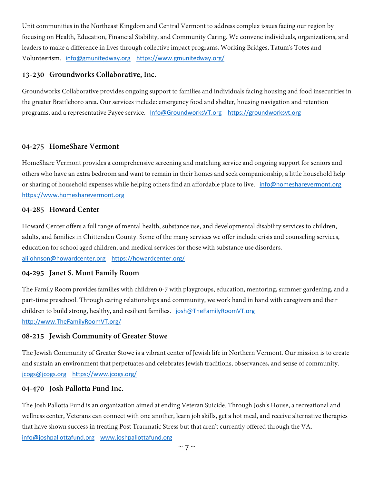Unit communities in the Northeast Kingdom and Central Vermont to address complex issues facing our region by focusing on Health, Education, Financial Stability, and Community Caring. We convene individuals, organizations, and leaders to make a difference in lives through collective impact programs, Working Bridges, Tatum's Totes and Volunteerism. [info@gmunitedway.org](mailto:info@gmunitedway.org) <https://www.gmunitedway.org/>

#### **13-230 Groundworks Collaborative, Inc.**

Groundworks Collaborative provides ongoing support to families and individuals facing housing and food insecurities in the greater Brattleboro area. Our services include: emergency food and shelter, housing navigation and retention programs, and a representative Payee service. [Info@GroundworksVT.org](mailto:Info@GroundworksVT.org) [https://groundworksvt.org](https://groundworksvt.org/)

#### **04-275 HomeShare Vermont**

HomeShare Vermont provides a comprehensive screening and matching service and ongoing support for seniors and others who have an extra bedroom and want to remain in their homes and seek companionship, a little household help or sharing of household expenses while helping others find an affordable place to live. [info@homesharevermont.org](mailto:info@homesharevermont.org) [https://www.homesharevermont.org](https://www.homesharevermont.org/)

#### **04-285 Howard Center**

Howard Center offers a full range of mental health, substance use, and developmental disability services to children, adults, and families in Chittenden County. Some of the many services we offer include crisis and counseling services, education for school aged children, and medical services for those with substance use disorders. [alijohnson@howardcenter.org](mailto:alijohnson@howardcenter.org) <https://howardcenter.org/>

## **04-295 Janet S. Munt Family Room**

The Family Room provides families with children 0-7 with playgroups, education, mentoring, summer gardening, and a part-time preschool. Through caring relationships and community, we work hand in hand with caregivers and their children to build strong, healthy, and resilient families. [josh@TheFamilyRoomVT.org](mailto:josh@TheFamilyRoomVT.org) [http://www.TheFamilyRoomVT.org/](http://www.thefamilyroomvt.org/)

#### **08-215 Jewish Community of Greater Stowe**

The Jewish Community of Greater Stowe is a vibrant center of Jewish life in Northern Vermont. Our mission is to create and sustain an environment that perpetuates and celebrates Jewish traditions, observances, and sense of community. [jcogs@jcogs.org](mailto:jcogs@jcogs.org) <https://www.jcogs.org/>

#### **04-470 Josh Pallotta Fund Inc.**

The Josh Pallotta Fund is an organization aimed at ending Veteran Suicide. Through Josh's House, a recreational and wellness center, Veterans can connect with one another, learn job skills, get a hot meal, and receive alternative therapies that have shown success in treating Post Traumatic Stress but that aren't currently offered through the VA. [info@joshpallottafund.org](mailto:info@joshpallottafund.org) [www.joshpallottafund.org](http://www.joshpallottafund.org/)

 $\sim$  7  $\sim$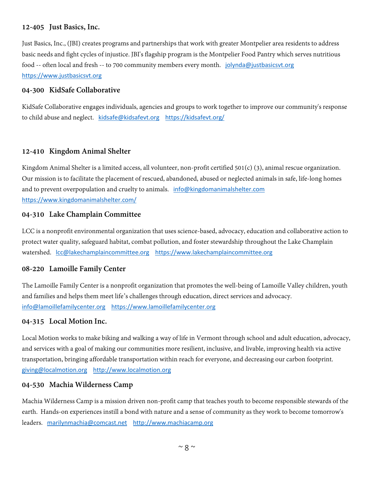## **12-405 Just Basics, Inc.**

Just Basics, Inc., (JBI) creates programs and partnerships that work with greater Montpelier area residents to address basic needs and fight cycles of injustice. JBI's flagship program is the Montpelier Food Pantry which serves nutritious food -- often local and fresh -- to 700 community members every month. [jolynda@justbasicsvt.org](mailto:jolynda@justbasicsvt.org) [https://www.justbasicsvt.org](https://www.justbasicsvt.org/)

#### **04-300 KidSafe Collaborative**

KidSafe Collaborative engages individuals, agencies and groups to work together to improve our community's response to child abuse and neglect. [kidsafe@kidsafevt.org](mailto:kidsafe@kidsafevt.org) https://kidsafevt.org/

#### **12-410 Kingdom Animal Shelter**

Kingdom Animal Shelter is a limited access, all volunteer, non-profit certified 501(c) (3), animal rescue organization. Our mission is to facilitate the placement of rescued, abandoned, abused or neglected animals in safe, life-long homes and to prevent overpopulation and cruelty to animals. [info@kingdomanimalshelter.com](mailto:info@kingdomanimalshelter.com) <https://www.kingdomanimalshelter.com/>

#### **04-310 Lake Champlain Committee**

LCC is a nonprofit environmental organization that uses science-based, advocacy, education and collaborative action to protect water quality, safeguard habitat, combat pollution, and foster stewardship throughout the Lake Champlain watershed. [lcc@lakechamplaincommittee.org](mailto:lcc@lakechamplaincommittee.org) [https://www.lakechamplaincommittee.org](https://www.lakechamplaincommittee.org/)

#### **08-220 Lamoille Family Center**

The Lamoille Family Center is a nonprofit organization that promotes the well-being of Lamoille Valley children, youth and families and helps them meet life's challenges through education, direct services and advocacy. [info@lamoillefamilycenter.org](mailto:info@lamoillefamilycenter.org) [https://www.lamoillefamilycenter.org](https://www.lamoillefamilycenter.org/)

#### **04-315 Local Motion Inc.**

Local Motion works to make biking and walking a way of life in Vermont through school and adult education, advocacy, and services with a goal of making our communities more resilient, inclusive, and livable, improving health via active transportation, bringing affordable transportation within reach for everyone, and decreasing our carbon footprint. [giving@localmotion.org](mailto:giving@localmotion.org) [http://www.localmotion.org](http://www.localmotion.org/)

#### **04-530 Machia Wilderness Camp**

Machia Wilderness Camp is a mission driven non-profit camp that teaches youth to become responsible stewards of the earth. Hands-on experiences instill a bond with nature and a sense of community as they work to become tomorrow's leaders. [marilynmachia@comcast.net](mailto:marilynmachia@comcast.net) [http://www.machiacamp.org](http://www.machiacamp.org/)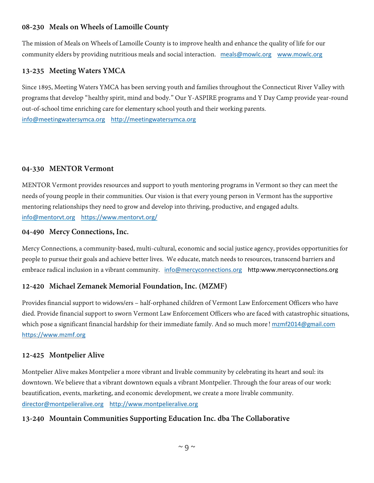## **08-230 Meals on Wheels of Lamoille County**

The mission of Meals on Wheels of Lamoille County is to improve health and enhance the quality of life for our community elders by providing nutritious meals and social interaction. [meals@mowlc.org](mailto:meals@mowlc.org) [www.mowlc.org](http://www.mowlc.org/)

#### **13-235 Meeting Waters YMCA**

Since 1895, Meeting Waters YMCA has been serving youth and families throughout the Connecticut River Valley with programs that develop "healthy spirit, mind and body." Our Y-ASPIRE programs and Y Day Camp provide year-round out-of-school time enriching care for elementary school youth and their working parents. [info@meetingwatersymca.org](mailto:info@meetingwatersymca.org) [http://meetingwatersymca.org](http://meetingwatersymca.org/)

#### **04-330 MENTOR Vermont**

MENTOR Vermont provides resources and support to youth mentoring programs in Vermont so they can meet the needs of young people in their communities. Our vision is that every young person in Vermont has the supportive mentoring relationships they need to grow and develop into thriving, productive, and engaged adults. [info@mentorvt.org](mailto:info@mentorvt.org) <https://www.mentorvt.org/>

#### **04-490 Mercy Connections, Inc.**

Mercy Connections, a community-based, multi-cultural, economic and social justice agency, provides opportunities for people to pursue their goals and achieve better lives. We educate, match needs to resources, transcend barriers and embrace radical inclusion in a vibrant community. [info@mercyconnections.org](mailto:info@mercyconnections.org) http:www.mercyconnections.org

## **12-420 Michael Zemanek Memorial Foundation, Inc. (MZMF)**

Provides financial support to widows/ers – half-orphaned children of Vermont Law Enforcement Officers who have died. Provide financial support to sworn Vermont Law Enforcement Officers who are faced with catastrophic situations, which pose a significant financial hardship for their immediate family. And so much more! [mzmf2014@gmail.com](mailto:mzmf2014@gmail.com) [https://www.mzmf.org](https://www.mzmf.org/)

## **12-425 Montpelier Alive**

Montpelier Alive makes Montpelier a more vibrant and livable community by celebrating its heart and soul: its downtown. We believe that a vibrant downtown equals a vibrant Montpelier. Through the four areas of our work: beautification, events, marketing, and economic development, we create a more livable community. [director@montpelieralive.org](mailto:director@montpelieralive.org) [http://www.montpelieralive.org](http://www.montpelieralive.org/)

## **13-240 Mountain Communities Supporting Education Inc. dba The Collaborative**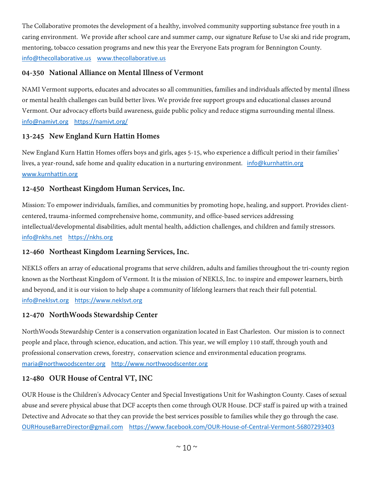The Collaborative promotes the development of a healthy, involved community supporting substance free youth in a caring environment. We provide after school care and summer camp, our signature Refuse to Use ski and ride program, mentoring, tobacco cessation programs and new this year the Everyone Eats program for Bennington County. [info@thecollaborative.us](mailto:info@thecollaborative.us) [www.thecollaborative.us](http://www.thecollaborative.us/)

## **04-350 National Alliance on Mental Illness of Vermont**

NAMI Vermont supports, educates and advocates so all communities, families and individuals affected by mental illness or mental health challenges can build better lives. We provide free support groups and educational classes around Vermont. Our advocacy efforts build awareness, guide public policy and reduce stigma surrounding mental illness. [info@namivt.org](mailto:info@namivt.org) <https://namivt.org/>

## **13-245 New England Kurn Hattin Homes**

New England Kurn Hattin Homes offers boys and girls, ages 5-15, who experience a difficult period in their families' lives, a year-round, safe home and quality education in a nurturing environment. [info@kurnhattin.org](mailto:info@kurnhattin.org) [www.kurnhattin.org](http://www.kurnhattin.org/)

## **12-450 Northeast Kingdom Human Services, Inc.**

Mission: To empower individuals, families, and communities by promoting hope, healing, and support. Provides clientcentered, trauma-informed comprehensive home, community, and office-based services addressing intellectual/developmental disabilities, adult mental health, addiction challenges, and children and family stressors. [info@nkhs.net](mailto:info@nkhs.net) [https://nkhs.org](https://nkhs.org/)

## **12-460 Northeast Kingdom Learning Services, Inc.**

NEKLS offers an array of educational programs that serve children, adults and families throughout the tri-county region known as the Northeast Kingdom of Vermont. It is the mission of NEKLS, Inc. to inspire and empower learners, birth and beyond, and it is our vision to help shape a community of lifelong learners that reach their full potential. [info@neklsvt.org](mailto:info@neklsvt.org) [https://www.neklsvt.org](https://www.neklsvt.org/)

## **12-470 NorthWoods Stewardship Center**

NorthWoods Stewardship Center is a conservation organization located in East Charleston. Our mission is to connect people and place, through science, education, and action. This year, we will employ 110 staff, through youth and professional conservation crews, forestry, conservation science and environmental education programs. [maria@northwoodscenter.org](mailto:maria@northwoodscenter.org) [http://www.northwoodscenter.org](http://www.northwoodscenter.org/)

## **12-480 OUR House of Central VT, INC**

OUR House is the Children's Advocacy Center and Special Investigations Unit for Washington County. Cases of sexual abuse and severe physical abuse that DCF accepts then come through OUR House. DCF staff is paired up with a trained Detective and Advocate so that they can provide the best services possible to families while they go through the case. [OURHouseBarreDirector@gmail.com](mailto:OURHouseBarreDirector@gmail.com) <https://www.facebook.com/OUR-House-of-Central-Vermont-56807293403>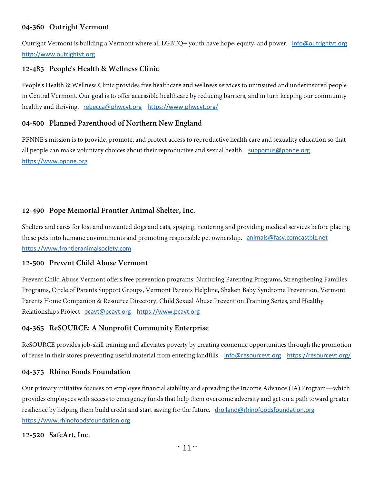## **04-360 Outright Vermont**

Outright Vermont is building a Vermont where all LGBTQ+ youth have hope, equity, and power. [info@outrightvt.org](mailto:info@outrightvt.org) [http://www.outrightvt.org](http://www.outrightvt.org/)

## **12-485 People's Health & Wellness Clinic**

People's Health & Wellness Clinic provides free healthcare and wellness services to uninsured and underinsured people in Central Vermont. Our goal is to offer accessible healthcare by reducing barriers, and in turn keeping our community healthy and thriving. [rebecca@phwcvt.org](mailto:rebecca@phwcvt.org) <https://www.phwcvt.org/>

#### **04-500 Planned Parenthood of Northern New England**

PPNNE's mission is to provide, promote, and protect access to reproductive health care and sexuality education so that all people can make voluntary choices about their reproductive and sexual health. [supportus@ppnne.org](mailto:supportus@ppnne.org) [https://www.ppnne.org](https://www.ppnne.org/)

## **12-490 Pope Memorial Frontier Animal Shelter, Inc.**

Shelters and cares for lost and unwanted dogs and cats, spaying, neutering and providing medical services before placing these pets into humane environments and promoting responsible pet ownership. [animals@fasv.comcastbiz.net](mailto:animals@fasv.comcastbiz.net) [https://www.frontieranimalsociety.com](https://www.frontieranimalsociety.com/)

#### **12-500 Prevent Child Abuse Vermont**

Prevent Child Abuse Vermont offers free prevention programs: Nurturing Parenting Programs, Strengthening Families Programs, Circle of Parents Support Groups, Vermont Parents Helpline, Shaken Baby Syndrome Prevention, Vermont Parents Home Companion & Resource Directory, Child Sexual Abuse Prevention Training Series, and Healthy Relationships Project [pcavt@pcavt.org](mailto:pcavt@pcavt.org) [https://www.pcavt.org](https://www.pcavt.org/)

## **04-365 ReSOURCE: A Nonprofit Community Enterprise**

ReSOURCE provides job-skill training and alleviates poverty by creating economic opportunities through the promotion of reuse in their stores preventing useful material from entering landfills. [info@resourcevt.org](mailto:info@resourcevt.org) <https://resourcevt.org/>

#### **04-375 Rhino Foods Foundation**

Our primary initiative focuses on employee financial stability and spreading the Income Advance (IA) Program—which provides employees with access to emergency funds that help them overcome adversity and get on a path toward greater resilience by helping them build credit and start saving for the future. [drolland@rhinofoodsfoundation.org](mailto:drolland@rhinofoodsfoundation.org) [https://www.rhinofoodsfoundation.org](https://www.rhinofoodsfoundation.org/)

#### **12-520 SafeArt, Inc.**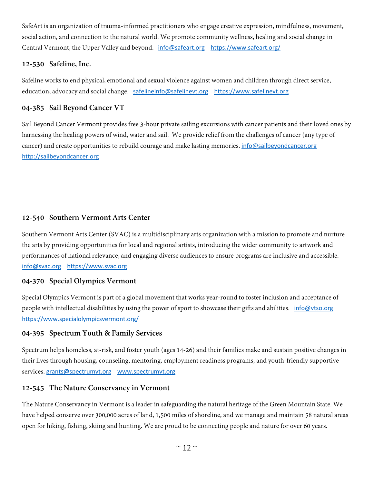SafeArt is an organization of trauma-informed practitioners who engage creative expression, mindfulness, movement, social action, and connection to the natural world. We promote community wellness, healing and social change in Central Vermont, the Upper Valley and beyond. [info@safeart.org](mailto:info@safeart.org) <https://www.safeart.org/>

## **12-530 Safeline, Inc.**

Safeline works to end physical, emotional and sexual violence against women and children through direct service, education, advocacy and social change. [safelineinfo@safelinevt.org](mailto:safelineinfo@safelinevt.org) [https://www.safelinevt.org](https://www.safelinevt.org/)

## **04-385 Sail Beyond Cancer VT**

Sail Beyond Cancer Vermont provides free 3-hour private sailing excursions with cancer patients and their loved ones by harnessing the healing powers of wind, water and sail. We provide relief from the challenges of cancer (any type of cancer) and create opportunities to rebuild courage and make lasting memories. [info@sailbeyondcancer.org](mailto:info@sailbeyondcancer.org) [http://sailbeyondcancer.org](http://sailbeyondcancer.org/)

## **12-540 Southern Vermont Arts Center**

Southern Vermont Arts Center (SVAC) is a multidisciplinary arts organization with a mission to promote and nurture the arts by providing opportunities for local and regional artists, introducing the wider community to artwork and performances of national relevance, and engaging diverse audiences to ensure programs are inclusive and accessible. [info@svac.org](mailto:info@svac.org) [https://www.svac.org](https://www.svac.org/)

## **04-370 Special Olympics Vermont**

Special Olympics Vermont is part of a global movement that works year-round to foster inclusion and acceptance of people with intellectual disabilities by using the power of sport to showcase their gifts and abilities. [info@vtso.org](mailto:info@vtso.org) <https://www.specialolympicsvermont.org/>

## **04-395 Spectrum Youth & Family Services**

Spectrum helps homeless, at-risk, and foster youth (ages 14-26) and their families make and sustain positive changes in their lives through housing, counseling, mentoring, employment readiness programs, and youth-friendly supportive services. [grants@spectrumvt.org](mailto:grants@spectrumvt.org) [www.spectrumvt.org](http://www.spectrumvt.org/)

## **12-545 The Nature Conservancy in Vermont**

The Nature Conservancy in Vermont is a leader in safeguarding the natural heritage of the Green Mountain State. We have helped conserve over 300,000 acres of land, 1,500 miles of shoreline, and we manage and maintain 58 natural areas open for hiking, fishing, skiing and hunting. We are proud to be connecting people and nature for over 60 years.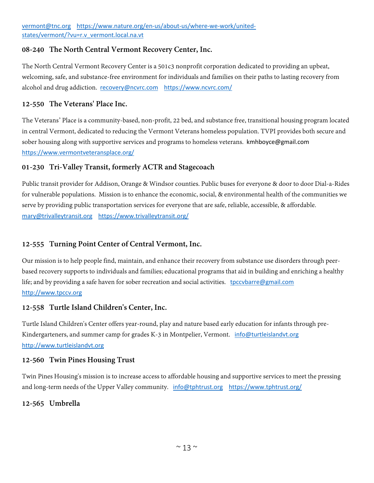#### **08-240 The North Central Vermont Recovery Center, Inc.**

The North Central Vermont Recovery Center is a 501c3 nonprofit corporation dedicated to providing an upbeat, welcoming, safe, and substance-free environment for individuals and families on their paths to lasting recovery from alcohol and drug addiction. [recovery@ncvrc.com](mailto:recovery@ncvrc.com) <https://www.ncvrc.com/>

#### **12-550 The Veterans' Place Inc.**

The Veterans' Place is a community-based, non-profit, 22 bed, and substance free, transitional housing program located in central Vermont, dedicated to reducing the Vermont Veterans homeless population. TVPI provides both secure and sober housing along with supportive services and programs to homeless veterans. kmhboyce@gmail.com <https://www.vermontveteransplace.org/>

## **01-230 Tri-Valley Transit, formerly ACTR and Stagecoach**

Public transit provider for Addison, Orange & Windsor counties. Public buses for everyone & door to door Dial-a-Rides for vulnerable populations. Mission is to enhance the economic, social, & environmental health of the communities we serve by providing public transportation services for everyone that are safe, reliable, accessible, & affordable. [mary@trivalleytransit.org](mailto:mary@trivalleytransit.org) <https://www.trivalleytransit.org/>

# **12-555 Turning Point Center of Central Vermont, Inc.**

Our mission is to help people find, maintain, and enhance their recovery from substance use disorders through peerbased recovery supports to individuals and families; educational programs that aid in building and enriching a healthy life; and by providing a safe haven for sober recreation and social activities. [tpccvbarre@gmail.com](mailto:tpccvbarre@gmail.com) [http://www.tpccv.org](http://www.tpccv.org/)

## **12-558 Turtle Island Children's Center, Inc.**

Turtle Island Children's Center offers year-round, play and nature based early education for infants through preKindergarteners, and summer camp for grades K-3 in Montpelier, Vermont. [info@turtleislandvt.org](mailto:info@turtleislandvt.org) [http://www.turtleislandvt.org](http://www.turtleislandvt.org/)

#### **12-560 Twin Pines Housing Trust**

Twin Pines Housing's mission is to increase access to affordable housing and supportive services to meet the pressing and long-term needs of the Upper Valley community. [info@tphtrust.org](mailto:info@tphtrust.org) <https://www.tphtrust.org/>

#### **12-565 Umbrella**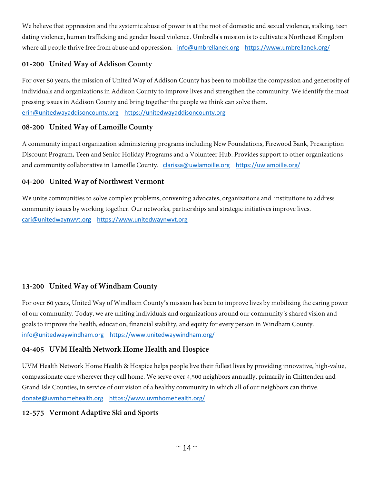We believe that oppression and the systemic abuse of power is at the root of domestic and sexual violence, stalking, teen dating violence, human trafficking and gender based violence. Umbrella's mission is to cultivate a Northeast Kingdom where all people thrive free from abuse and oppression. [info@umbrellanek.org](mailto:info@umbrellanek.org) <https://www.umbrellanek.org/>

# **01-200 United Way of Addison County**

For over 50 years, the mission of United Way of Addison County has been to mobilize the compassion and generosity of individuals and organizations in Addison County to improve lives and strengthen the community. We identify the most pressing issues in Addison County and bring together the people we think can solve them. [erin@unitedwayaddisoncounty.org](mailto:erin@unitedwayaddisoncounty.org) [https://unitedwayaddisoncounty.org](https://unitedwayaddisoncounty.org/)

# **08-200 United Way of Lamoille County**

A community impact organization administering programs including New Foundations, Firewood Bank, Prescription Discount Program, Teen and Senior Holiday Programs and a Volunteer Hub. Provides support to other organizations and community collaborative in Lamoille County. [clarissa@uwlamoille.org](mailto:clarissa@uwlamoille.org) <https://uwlamoille.org/>

# **04-200 United Way of Northwest Vermont**

We unite communities to solve complex problems, convening advocates, organizations and institutions to address community issues by working together. Our networks, partnerships and strategic initiatives improve lives. [cari@unitedwaynwvt.org](mailto:cari@unitedwaynwvt.org) [https://www.unitedwaynwvt.org](https://www.unitedwaynwvt.org/)

# **13-200 United Way of Windham County**

For over 60 years, United Way of Windham County's mission has been to improve lives by mobilizing the caring power of our community. Today, we are uniting individuals and organizations around our community's shared vision and goals to improve the health, education, financial stability, and equity for every person in Windham County. [info@unitedwaywindham.org](mailto:info@unitedwaywindham.org) <https://www.unitedwaywindham.org/>

# **04-405 UVM Health Network Home Health and Hospice**

UVM Health Network Home Health & Hospice helps people live their fullest lives by providing innovative, high-value, compassionate care wherever they call home. We serve over 4,500 neighbors annually, primarily in Chittenden and Grand Isle Counties, in service of our vision of a healthy community in which all of our neighbors can thrive. [donate@uvmhomehealth.org](mailto:donate@uvmhomehealth.org) <https://www.uvmhomehealth.org/>

# **12-575 Vermont Adaptive Ski and Sports**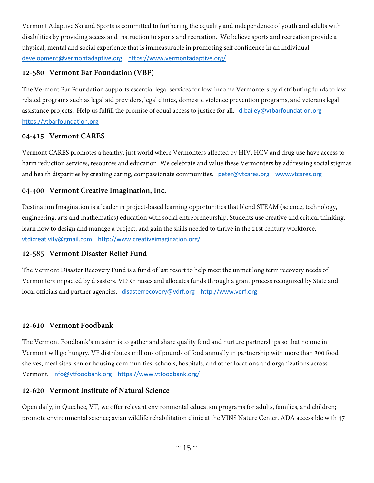Vermont Adaptive Ski and Sports is committed to furthering the equality and independence of youth and adults with disabilities by providing access and instruction to sports and recreation. We believe sports and recreation provide a physical, mental and social experience that is immeasurable in promoting self confidence in an individual. [development@vermontadaptive.org](mailto:development@vermontadaptive.org) <https://www.vermontadaptive.org/>

# **12-580 Vermont Bar Foundation (VBF)**

The Vermont Bar Foundation supports essential legal services for low-income Vermonters by distributing funds to lawrelated programs such as legal aid providers, legal clinics, domestic violence prevention programs, and veterans legal assistance projects. Help us fulfill the promise of equal access to justice for all. [d.bailey@vtbarfoundation.org](mailto:d.bailey@vtbarfoundation.org) [https://vtbarfoundation.org](https://vtbarfoundation.org/)

## **04-415 Vermont CARES**

Vermont CARES promotes a healthy, just world where Vermonters affected by HIV, HCV and drug use have access to harm reduction services, resources and education. We celebrate and value these Vermonters by addressing social stigmas and health disparities by creating caring, compassionate communities. [peter@vtcares.org](mailto:peter@vtcares.org) [www.vtcares.org](http://www.vtcares.org/)

## **04-400 Vermont Creative Imagination, Inc.**

Destination Imagination is a leader in project-based learning opportunities that blend STEAM (science, technology, engineering, arts and mathematics) education with social entrepreneurship. Students use creative and critical thinking, learn how to design and manage a project, and gain the skills needed to thrive in the 21st century workforce. [vtdicreativity@gmail.com](mailto:vtdicreativity@gmail.com) <http://www.creativeimagination.org/>

## **12-585 Vermont Disaster Relief Fund**

The Vermont Disaster Recovery Fund is a fund of last resort to help meet the unmet long term recovery needs of Vermonters impacted by disasters. VDRF raises and allocates funds through a grant process recognized by State and local officials and partner agencies. [disasterrecovery@vdrf.org](mailto:disasterrecovery@vdrf.org) [http://www.vdrf.org](http://www.vdrf.org/)

# **12-610 Vermont Foodbank**

The Vermont Foodbank's mission is to gather and share quality food and nurture partnerships so that no one in Vermont will go hungry. VF distributes millions of pounds of food annually in partnership with more than 300 food shelves, meal sites, senior housing communities, schools, hospitals, and other locations and organizations across Vermont. [info@vtfoodbank.org](mailto:info@vtfoodbank.org) <https://www.vtfoodbank.org/>

# **12-620 Vermont Institute of Natural Science**

Open daily, in Quechee, VT, we offer relevant environmental education programs for adults, families, and children; promote environmental science; avian wildlife rehabilitation clinic at the VINS Nature Center. ADA accessible with 47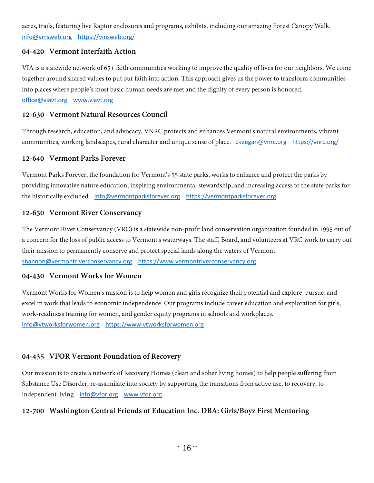acres, trails, featuring live Raptor enclosures and programs, exhibits, including our amazing Forest Canopy Walk. [info@vinsweb.org](mailto:info@vinsweb.org) <https://vinsweb.org/>

## **04-420 Vermont Interfaith Action**

VIA is a statewide network of 65+ faith communities working to improve the quality of lives for our neighbors. We come together around shared values to put our faith into action. This approach gives us the power to transform communities into places where people's most basic human needs are met and the dignity of every person is honored.

[office@viavt.org](mailto:office@viavt.org) [www.viavt.org](http://www.viavt.org/)

#### **12-630 Vermont Natural Resources Council**

Through research, education, and advocacy, VNRC protects and enhances Vermont's natural environments, vibrant communities, working landscapes, rural character and unique sense of place. [ckeegan@vnrc.org](mailto:ckeegan@vnrc.org) <https://vnrc.org/>

#### **12-640 Vermont Parks Forever**

Vermont Parks Forever, the foundation for Vermont's 55 state parks, works to enhance and protect the parks by providing innovative nature education, inspiring environmental stewardship, and increasing access to the state parks for the historically excluded. [info@vermontparksforever.org](mailto:info@vermontparksforever.org) [https://vermontparksforever.org](https://vermontparksforever.org/)

#### **12-650 Vermont River Conservancy**

The Vermont River Conservancy (VRC) is a statewide non-profit land conservation organization founded in 1995 out of a concern for the loss of public access to Vermont's waterways. The staff, Board, and volunteers at VRC work to carry out their mission to permanently conserve and protect special lands along the waters of Vermont. [shannon@vermontriverconservancy.org](mailto:shannon@vermontriverconservancy.org) [https://www.vermontriverconservancy.org](https://www.vermontriverconservancy.org/)

#### **04-430 Vermont Works for Women**

Vermont Works for Women's mission is to help women and girls recognize their potential and explore, pursue, and excel in work that leads to economic independence. Our programs include career education and exploration for girls, work-readiness training for women, and gender equity programs in schools and workplaces. [info@vtworksforwomen.org](mailto:info@vtworksforwomen.org) [https://www.vtworksforwomen.org](https://www.vtworksforwomen.org/)

#### **04-435 VFOR Vermont Foundation of Recovery**

Our mission is to create a network of Recovery Homes (clean and sober living homes) to help people suffering from Substance Use Disorder, re-assimilate into society by supporting the transitions from active use, to recovery, to independent living. [info@vfor.org](mailto:info@vfor.org) [www.vfor.org](http://www.vfor.org/)

## **12-700 Washington Central Friends of Education Inc. DBA: Girls/Boyz First Mentoring**